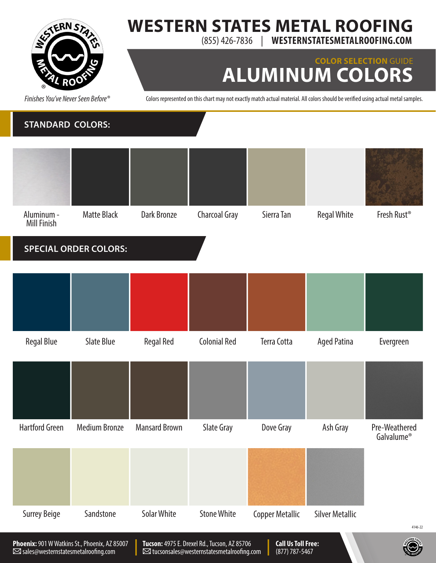

### **WESTERN STATES METAL ROOFING** (855) 426-7836 | **WESTERNSTATESMETALROOFING.COM**

## **COLOR SELECTION** GUIDE **ALUMINUM COLORS**

*Finishes You've Never Seen Before®*

Colors represented on this chart may not exactly match actual material. All colors should be verified using actual metal samples.

#### **STANDARD COLORS:**



| <b>Regal Blue</b> | Slate Blue | <b>Regal Red</b> | Colonial Red | Terra Cotta | <b>Aged Patina</b> | Evergreen |
|-------------------|------------|------------------|--------------|-------------|--------------------|-----------|

| <b>Hartford Green</b> | <b>Medium Bronze</b> | <b>Mansard Brown</b> | Slate Gray         | Dove Gray                                                                                                              | Ash Gray               | Pre-Weathered<br>Galvalume <sup>®</sup> |
|-----------------------|----------------------|----------------------|--------------------|------------------------------------------------------------------------------------------------------------------------|------------------------|-----------------------------------------|
|                       |                      |                      |                    |                                                                                                                        |                        |                                         |
|                       |                      |                      |                    |                                                                                                                        |                        |                                         |
| <b>Surrey Beige</b>   | Sandstone            | <b>Solar White</b>   | <b>Stone White</b> | <b>Copper Metallic</b>                                                                                                 | <b>Silver Metallic</b> |                                         |
|                       |                      |                      |                    |                                                                                                                        |                        | 4146-22                                 |
|                       | .                    |                      |                    | <b>The Contract Contract Contract Contract Contract Contract Contract Contract Contract Contract Contract Contract</b> |                        | <b>STERN STAN</b>                       |

**Tucson:**4975 E. Drexel Rd., Tucson, AZ 85706 tucsonsales@westernstatesmetalroofing.com

**Call Us Toll Free:** (877) 787-5467

®